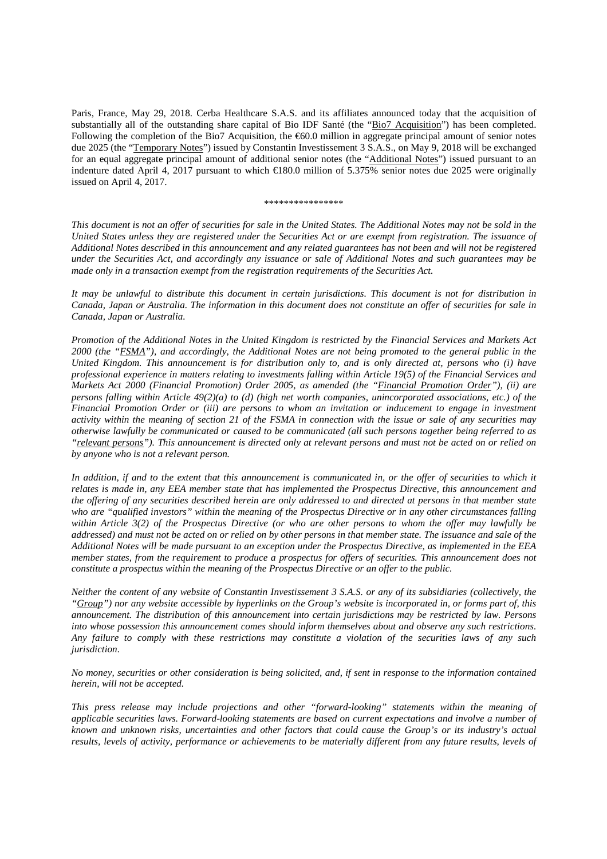Paris, France, May 29, 2018. Cerba Healthcare S.A.S. and its affiliates announced today that the acquisition of substantially all of the outstanding share capital of Bio IDF Santé (the "Bio7 Acquisition") has been completed. Following the completion of the Bio7 Acquisition, the  $\epsilon$ 60.0 million in aggregate principal amount of senior notes due 2025 (the "Temporary Notes") issued by Constantin Investissement 3 S.A.S., on May 9, 2018 will be exchanged for an equal aggregate principal amount of additional senior notes (the "Additional Notes") issued pursuant to an indenture dated April 4, 2017 pursuant to which €180.0 million of 5.375% senior notes due 2025 were originally issued on April 4, 2017.

## \*\*\*\*\*\*\*\*\*\*\*\*\*\*\*\*

*This document is not an offer of securities for sale in the United States. The Additional Notes may not be sold in the United States unless they are registered under the Securities Act or are exempt from registration. The issuance of Additional Notes described in this announcement and any related guarantees has not been and will not be registered under the Securities Act, and accordingly any issuance or sale of Additional Notes and such guarantees may be made only in a transaction exempt from the registration requirements of the Securities Act.* 

*It may be unlawful to distribute this document in certain jurisdictions. This document is not for distribution in Canada, Japan or Australia. The information in this document does not constitute an offer of securities for sale in Canada, Japan or Australia.* 

*Promotion of the Additional Notes in the United Kingdom is restricted by the Financial Services and Markets Act 2000 (the "FSMA"), and accordingly, the Additional Notes are not being promoted to the general public in the United Kingdom. This announcement is for distribution only to, and is only directed at, persons who (i) have professional experience in matters relating to investments falling within Article 19(5) of the Financial Services and Markets Act 2000 (Financial Promotion) Order 2005, as amended (the "Financial Promotion Order"), (ii) are persons falling within Article 49(2)(a) to (d) (high net worth companies, unincorporated associations, etc.) of the Financial Promotion Order or (iii) are persons to whom an invitation or inducement to engage in investment activity within the meaning of section 21 of the FSMA in connection with the issue or sale of any securities may otherwise lawfully be communicated or caused to be communicated (all such persons together being referred to as "relevant persons"). This announcement is directed only at relevant persons and must not be acted on or relied on by anyone who is not a relevant person.* 

In addition, if and to the extent that this announcement is communicated in, or the offer of securities to which it *relates is made in, any EEA member state that has implemented the Prospectus Directive, this announcement and the offering of any securities described herein are only addressed to and directed at persons in that member state who are "qualified investors" within the meaning of the Prospectus Directive or in any other circumstances falling within Article 3(2) of the Prospectus Directive (or who are other persons to whom the offer may lawfully be addressed) and must not be acted on or relied on by other persons in that member state. The issuance and sale of the Additional Notes will be made pursuant to an exception under the Prospectus Directive, as implemented in the EEA member states, from the requirement to produce a prospectus for offers of securities. This announcement does not constitute a prospectus within the meaning of the Prospectus Directive or an offer to the public.* 

*Neither the content of any website of Constantin Investissement 3 S.A.S. or any of its subsidiaries (collectively, the "Group") nor any website accessible by hyperlinks on the Group's website is incorporated in, or forms part of, this announcement. The distribution of this announcement into certain jurisdictions may be restricted by law. Persons into whose possession this announcement comes should inform themselves about and observe any such restrictions. Any failure to comply with these restrictions may constitute a violation of the securities laws of any such jurisdiction.* 

*No money, securities or other consideration is being solicited, and, if sent in response to the information contained herein, will not be accepted.* 

*This press release may include projections and other "forward-looking" statements within the meaning of applicable securities laws. Forward-looking statements are based on current expectations and involve a number of known and unknown risks, uncertainties and other factors that could cause the Group's or its industry's actual results, levels of activity, performance or achievements to be materially different from any future results, levels of*